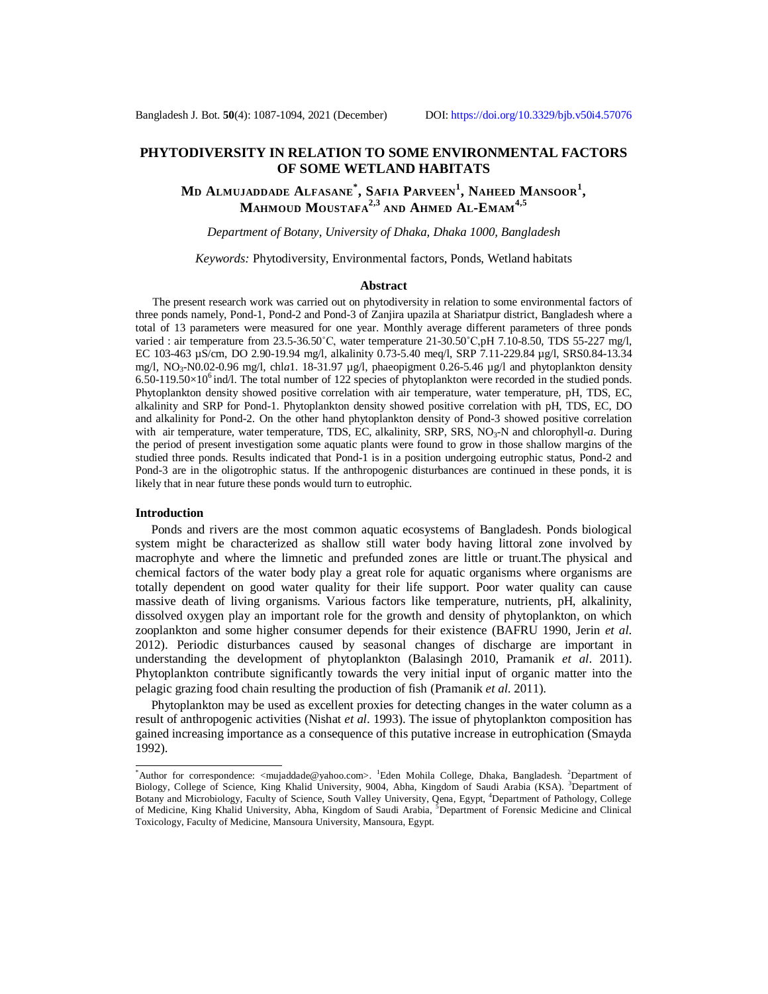# **PHYTODIVERSITY IN RELATION TO SOME ENVIRONMENTAL FACTORS OF SOME WETLAND HABITATS**

**M<sup>D</sup> ALMUJADDADE ALFASANE\* , SAFIA PARVEEN<sup>1</sup> , NAHEED MANSOOR<sup>1</sup> , MAHMOUD MOUSTAFA2,3 AND AHMED AL-EMAM4,5**

## *Department of Botany, University of Dhaka, Dhaka 1000, Bangladesh*

*Keywords:* Phytodiversity, Environmental factors, Ponds, Wetland habitats

#### **Abstract**

 The present research work was carried out on phytodiversity in relation to some environmental factors of three ponds namely, Pond-1, Pond-2 and Pond-3 of Zanjira upazila at Shariatpur district, Bangladesh where a total of 13 parameters were measured for one year. Monthly average different parameters of three ponds varied : air temperature from 23.5-36.50˚C, water temperature 21-30.50˚C,pH 7.10-8.50, TDS 55-227 mg/l, EC 103-463 µS/cm, DO 2.90-19.94 mg/l, alkalinity 0.73-5.40 meq/l, SRP 7.11-229.84 µg/l, SRS0.84-13.34 mg/l, NO3-N0.02-0.96 mg/l, chl*a*1. 18-31.97 µg/l, phaeopigment 0.26-5.46 µg/l and phytoplankton density  $6.50-119.50\times10^{6}$  ind/l. The total number of 122 species of phytoplankton were recorded in the studied ponds. Phytoplankton density showed positive correlation with air temperature, water temperature, pH, TDS, EC, alkalinity and SRP for Pond-1. Phytoplankton density showed positive correlation with pH, TDS, EC, DO and alkalinity for Pond-2. On the other hand phytoplankton density of Pond-3 showed positive correlation with air temperature, water temperature, TDS, EC, alkalinity, SRP, SRS, NO<sub>3</sub>-N and chlorophyll-*a*. During the period of present investigation some aquatic plants were found to grow in those shallow margins of the studied three ponds. Results indicated that Pond-1 is in a position undergoing eutrophic status, Pond-2 and Pond-3 are in the oligotrophic status. If the anthropogenic disturbances are continued in these ponds, it is likely that in near future these ponds would turn to eutrophic.

### **Introduction**

 Ponds and rivers are the most common aquatic ecosystems of Bangladesh. Ponds biological system might be characterized as shallow still water body having littoral zone involved by macrophyte and where the limnetic and prefunded zones are little or truant.The physical and chemical factors of the water body play a great role for aquatic organisms where organisms are totally dependent on good water quality for their life support. Poor water quality can cause massive death of living organisms. Various factors like temperature, nutrients, pH, alkalinity, dissolved oxygen play an important role for the growth and density of phytoplankton, on which zooplankton and some higher consumer depends for their existence (BAFRU 1990, Jerin *et al*. 2012). Periodic disturbances caused by seasonal changes of discharge are important in understanding the development of phytoplankton (Balasingh 2010, Pramanik *et al*. 2011). Phytoplankton contribute significantly towards the very initial input of organic matter into the pelagic grazing food chain resulting the production of fish (Pramanik *et al*. 2011).

 Phytoplankton may be used as excellent proxies for detecting changes in the water column as a result of anthropogenic activities (Nishat *et al*. 1993). The issue of phytoplankton composition has gained increasing importance as a consequence of this putative increase in eutrophication (Smayda 1992).

<sup>\*</sup>Author for correspondence: [<mujaddade@yahoo.com>](mailto:mujaddade@yahoo.com). <sup>1</sup>Eden Mohila College, Dhaka, Bangladesh. <sup>2</sup>Department of Biology, College of Science, King Khalid University, 9004, Abha, Kingdom of Saudi Arabia (KSA). <sup>3</sup>Department of Botany and Microbiology, Faculty of Science, South Valley University, Qena, Egypt, <sup>4</sup>Department of Pathology, College of Medicine, King Khalid University, Abha, Kingdom of Saudi Arabia, <sup>5</sup>Department of Forensic Medicine and Clinical Toxicology, Faculty of Medicine, Mansoura University, Mansoura, Egypt.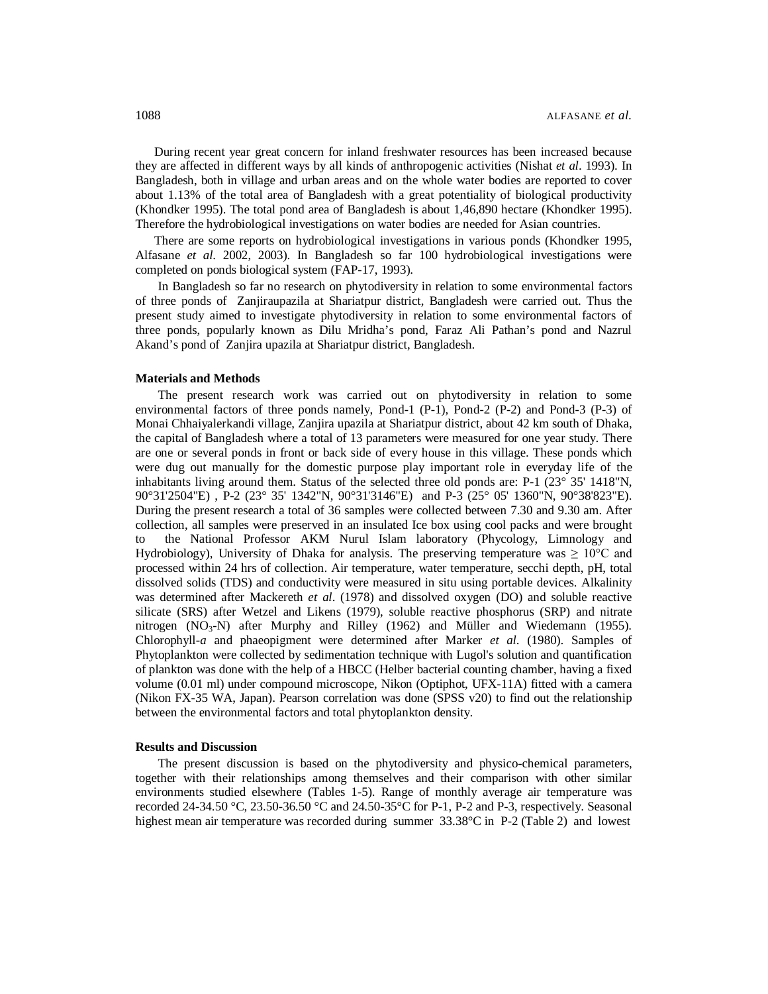During recent year great concern for inland freshwater resources has been increased because they are affected in different ways by all kinds of anthropogenic activities (Nishat *et al*. 1993). In Bangladesh, both in village and urban areas and on the whole water bodies are reported to cover about 1.13% of the total area of Bangladesh with a great potentiality of biological productivity (Khondker 1995). The total pond area of Bangladesh is about 1,46,890 hectare (Khondker 1995). Therefore the hydrobiological investigations on water bodies are needed for Asian countries.

 There are some reports on hydrobiological investigations in various ponds (Khondker 1995, Alfasane *et al*. 2002, 2003). In Bangladesh so far 100 hydrobiological investigations were completed on ponds biological system (FAP-17, 1993).

In Bangladesh so far no research on phytodiversity in relation to some environmental factors of three ponds of Zanjiraupazila at Shariatpur district, Bangladesh were carried out. Thus the present study aimed to investigate phytodiversity in relation to some environmental factors of three ponds, popularly known as Dilu Mridha's pond, Faraz Ali Pathan's pond and Nazrul Akand's pond of Zanjira upazila at Shariatpur district, Bangladesh.

### **Materials and Methods**

The present research work was carried out on phytodiversity in relation to some environmental factors of three ponds namely, Pond-1 (P-1), Pond-2 (P-2) and Pond-3 (P-3) of Monai Chhaiyalerkandi village, Zanjira upazila at Shariatpur district, about 42 km south of Dhaka, the capital of Bangladesh where a total of 13 parameters were measured for one year study. There are one or several ponds in front or back side of every house in this village. These ponds which were dug out manually for the domestic purpose play important role in everyday life of the inhabitants living around them. Status of the selected three old ponds are: P-1 (23° 35' 1418"N, 90°31'2504"E) , P-2 (23° 35' 1342"N, 90°31'3146"E) and P-3 (25° 05' 1360"N, 90°38'823"E). During the present research a total of 36 samples were collected between 7.30 and 9.30 am. After collection, all samples were preserved in an insulated Ice box using cool packs and were brought to the National Professor AKM Nurul Islam laboratory (Phycology, Limnology and Hydrobiology), University of Dhaka for analysis. The preserving temperature was  $\geq 10^{\circ}$ C and processed within 24 hrs of collection. Air temperature, water temperature, secchi depth, pH, total dissolved solids (TDS) and conductivity were measured in situ using portable devices. Alkalinity was determined after Mackereth *et al*. (1978) and dissolved oxygen (DO) and soluble reactive silicate (SRS) after Wetzel and Likens (1979), soluble reactive phosphorus (SRP) and nitrate nitrogen  $(NO<sub>3</sub>-N)$  after Murphy and Rilley (1962) and Müller and Wiedemann (1955). Chlorophyll-*a* and phaeopigment were determined after Marker *et al*. (1980). Samples of Phytoplankton were collected by sedimentation technique with Lugol's solution and quantification of plankton was done with the help of a HBCC (Helber bacterial counting chamber, having a fixed volume (0.01 ml) under compound microscope, Nikon (Optiphot, UFX-11A) fitted with a camera (Nikon FX-35 WA, Japan). Pearson correlation was done (SPSS v20) to find out the relationship between the environmental factors and total phytoplankton density.

### **Results and Discussion**

The present discussion is based on the phytodiversity and physico-chemical parameters, together with their relationships among themselves and their comparison with other similar environments studied elsewhere (Tables 1-5). Range of monthly average air temperature was recorded 24-34.50 °C, 23.50-36.50 °C and 24.50-35°C for P-1, P-2 and P-3, respectively. Seasonal highest mean air temperature was recorded during summer 33.38°C in P-2 (Table 2) and lowest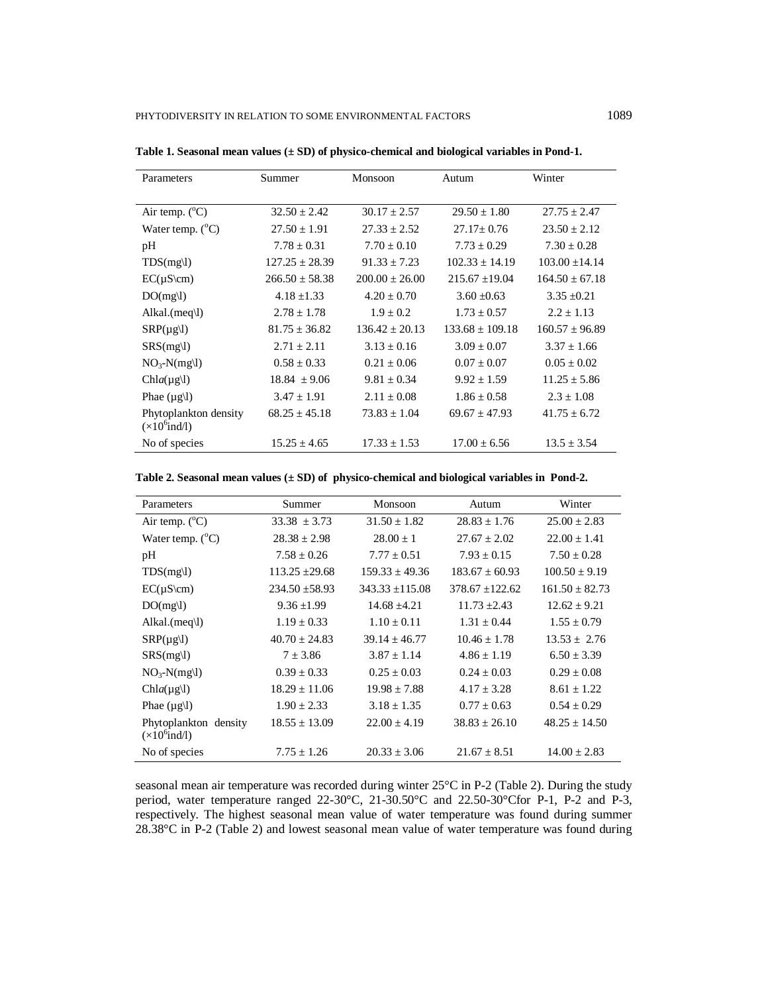| Parameters                                     | Summer             | Monsoon            | Autum               | Winter             |
|------------------------------------------------|--------------------|--------------------|---------------------|--------------------|
|                                                |                    |                    |                     |                    |
| Air temp. $(^{\circ}C)$                        | $32.50 \pm 2.42$   | $30.17 \pm 2.57$   | $29.50 \pm 1.80$    | $27.75 \pm 2.47$   |
| Water temp. $(^{\circ}C)$                      | $27.50 \pm 1.91$   | $27.33 \pm 2.52$   | $27.17 + 0.76$      | $23.50 \pm 2.12$   |
| pH                                             | $7.78 \pm 0.31$    | $7.70 + 0.10$      | $7.73 \pm 0.29$     | $7.30 \pm 0.28$    |
| TDS(mg)                                        | $127.25 \pm 28.39$ | $91.33 \pm 7.23$   | $102.33 \pm 14.19$  | $103.00 \pm 14.14$ |
| $EC(\mu S\$                                    | $266.50 \pm 58.38$ | $200.00 \pm 26.00$ | $215.67 \pm 19.04$  | $164.50 + 67.18$   |
| DO(mg)                                         | $4.18 + 1.33$      | $4.20 + 0.70$      | $3.60 + 0.63$       | $3.35 + 0.21$      |
| Alkal.(meq)                                    | $2.78 \pm 1.78$    | $1.9 \pm 0.2$      | $1.73 \pm 0.57$     | $2.2 \pm 1.13$     |
| $SRP(\mu g l)$                                 | $81.75 \pm 36.82$  | $136.42 + 20.13$   | $133.68 \pm 109.18$ | $160.57 \pm 96.89$ |
| SRS(mg)                                        | $2.71 + 2.11$      | $3.13 + 0.16$      | $3.09 + 0.07$       | $3.37 \pm 1.66$    |
| $NO_3-N(mg)$                                   | $0.58 \pm 0.33$    | $0.21 \pm 0.06$    | $0.07 \pm 0.07$     | $0.05 \pm 0.02$    |
| $Chla(\mu g)$                                  | $18.84 \pm 9.06$   | $9.81 \pm 0.34$    | $9.92 \pm 1.59$     | $11.25 \pm 5.86$   |
| Phae $(\mu g \mid l)$                          | $3.47 \pm 1.91$    | $2.11 + 0.08$      | $1.86 \pm 0.58$     | $2.3 \pm 1.08$     |
| Phytoplankton density<br>$(\times 10^6$ ind/l) | $68.25 \pm 45.18$  | $73.83 \pm 1.04$   | $69.67 \pm 47.93$   | $41.75 \pm 6.72$   |
| No of species                                  | $15.25 + 4.65$     | $17.33 + 1.53$     | $17.00 + 6.56$      | $13.5 \pm 3.54$    |

**Table 1. Seasonal mean values (± SD) of physico-chemical and biological variables in Pond-1.**

**Table 2. Seasonal mean values (± SD) of physico-chemical and biological variables in Pond-2.**

| Parameters                                     | Summer             | Monsoon           | Autum             | Winter            |
|------------------------------------------------|--------------------|-------------------|-------------------|-------------------|
| Air temp. $(^{\circ}C)$                        | $33.38 \pm 3.73$   | $31.50 \pm 1.82$  | $28.83 \pm 1.76$  | $25.00 \pm 2.83$  |
| Water temp. $(^{\circ}C)$                      | $28.38 \pm 2.98$   | $28.00 \pm 1$     | $27.67 + 2.02$    | $22.00 + 1.41$    |
| pH                                             | $7.58 \pm 0.26$    | $7.77 \pm 0.51$   | $7.93 \pm 0.15$   | $7.50 \pm 0.28$   |
| TDS(mg)                                        | $113.25 \pm 29.68$ | $159.33 + 49.36$  | $183.67 + 60.93$  | $100.50 \pm 9.19$ |
| $EC(\mu S\$                                    | $234.50 \pm 58.93$ | $343.33 + 115.08$ | $378.67 + 122.62$ | $161.50 + 82.73$  |
| DO(mg)                                         | $9.36 \pm 1.99$    | $14.68 + 4.21$    | $11.73 \pm 2.43$  | $12.62 \pm 9.21$  |
| Alkal.(meq $\langle$ l)                        | $1.19 \pm 0.33$    | $1.10 + 0.11$     | $1.31 + 0.44$     | $1.55 \pm 0.79$   |
| $SRP(\mu g l)$                                 | $40.70 \pm 24.83$  | $39.14 + 46.77$   | $10.46 + 1.78$    | $13.53 + 2.76$    |
| SRS(mg)                                        | $7 \pm 3.86$       | $3.87 \pm 1.14$   | $4.86 \pm 1.19$   | $6.50 \pm 3.39$   |
| $NO_3-N(mg)$                                   | $0.39 \pm 0.33$    | $0.25 + 0.03$     | $0.24 + 0.03$     | $0.29 + 0.08$     |
| Chla( $\mu$ g\l)                               | $18.29 \pm 11.06$  | $19.98 \pm 7.88$  | $4.17 + 3.28$     | $8.61 + 1.22$     |
| Phae $(\mu g \mid l)$                          | $1.90 \pm 2.33$    | $3.18 \pm 1.35$   | $0.77 \pm 0.63$   | $0.54 \pm 0.29$   |
| Phytoplankton density<br>$(\times 10^6$ ind/l) | $18.55 \pm 13.09$  | $22.00 + 4.19$    | $38.83 + 26.10$   | $48.25 + 14.50$   |
| No of species                                  | $7.75 \pm 1.26$    | $20.33 \pm 3.06$  | $21.67 + 8.51$    | $14.00 \pm 2.83$  |

seasonal mean air temperature was recorded during winter 25°C in P-2 (Table 2). During the study period, water temperature ranged 22-30°C, 21-30.50°C and 22.50-30°Cfor P-1, P-2 and P-3, respectively. The highest seasonal mean value of water temperature was found during summer 28.38°C in P-2 (Table 2) and lowest seasonal mean value of water temperature was found during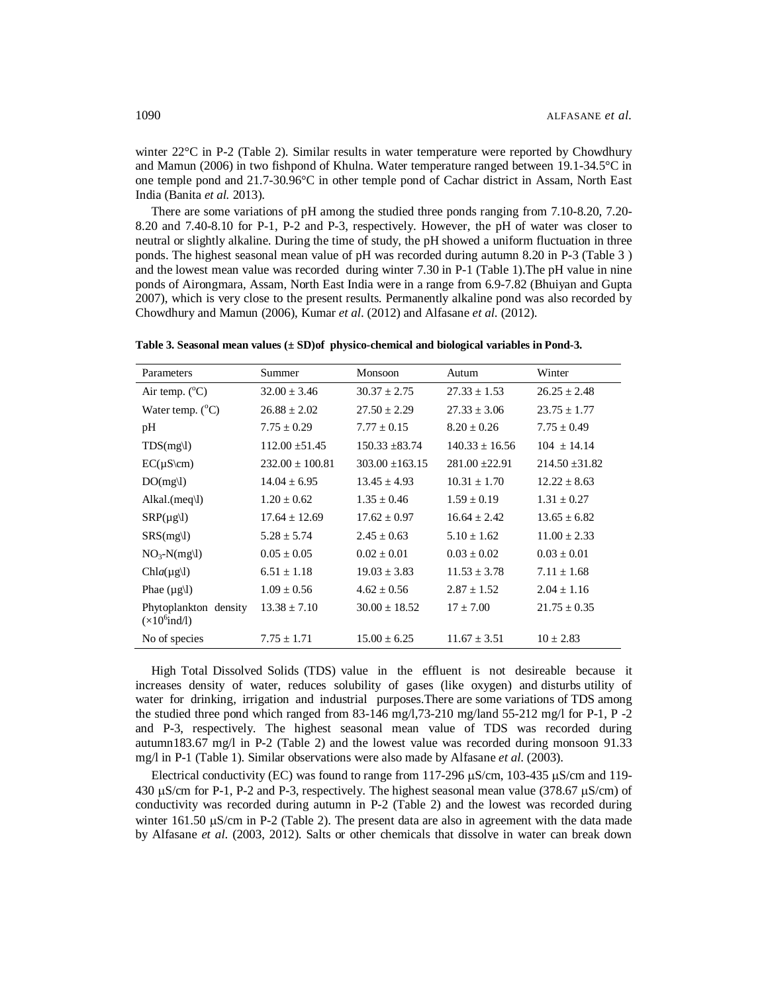winter 22<sup>o</sup>C in P-2 (Table 2). Similar results in water temperature were reported by Chowdhury and Mamun (2006) in two fishpond of Khulna. Water temperature ranged between 19.1-34.5°C in one temple pond and 21.7-30.96°C in other temple pond of Cachar district in Assam, North East India (Banita *et al.* 2013).

 There are some variations of pH among the studied three ponds ranging from 7.10-8.20, 7.20- 8.20 and 7.40-8.10 for P-1, P-2 and P-3, respectively. However, the pH of water was closer to neutral or slightly alkaline. During the time of study, the pH showed a uniform fluctuation in three ponds. The highest seasonal mean value of pH was recorded during autumn 8.20 in P-3 (Table 3 ) and the lowest mean value was recorded during winter 7.30 in P-1 (Table 1).The pH value in nine ponds of Airongmara, Assam, North East India were in a range from 6.9-7.82 (Bhuiyan and Gupta 2007), which is very close to the present results. Permanently alkaline pond was also recorded by Chowdhury and Mamun (2006), Kumar *et al*. (2012) and Alfasane *et al*. (2012).

| Parameters                                     | Summer              | Monsoon           | Autum              | Winter           |
|------------------------------------------------|---------------------|-------------------|--------------------|------------------|
| Air temp. $(^{\circ}C)$                        | $32.00 \pm 3.46$    | $30.37 \pm 2.75$  | $27.33 \pm 1.53$   | $26.25 \pm 2.48$ |
| Water temp. $(^{\circ}C)$                      | $26.88 \pm 2.02$    | $27.50 \pm 2.29$  | $27.33 + 3.06$     | $23.75 \pm 1.77$ |
| pH                                             | $7.75 \pm 0.29$     | $7.77 \pm 0.15$   | $8.20 \pm 0.26$    | $7.75 \pm 0.49$  |
| TDS(mg)                                        | $112.00 + 51.45$    | $150.33 + 83.74$  | $140.33 + 16.56$   | $104 + 14.14$    |
| $EC(\mu S\vert cm)$                            | $232.00 \pm 100.81$ | $303.00 + 163.15$ | $281.00 \pm 22.91$ | $214.50 + 31.82$ |
| DO(mg)                                         | $14.04 \pm 6.95$    | $13.45 \pm 4.93$  | $10.31 \pm 1.70$   | $12.22 \pm 8.63$ |
| Alkal.(meq\l)                                  | $1.20 \pm 0.62$     | $1.35 \pm 0.46$   | $1.59 \pm 0.19$    | $1.31 \pm 0.27$  |
| $SRP(\mu g l)$                                 | $17.64 + 12.69$     | $17.62 + 0.97$    | $16.64 + 2.42$     | $13.65 + 6.82$   |
| SRS(mg)                                        | $5.28 \pm 5.74$     | $2.45 \pm 0.63$   | $5.10 \pm 1.62$    | $11.00 \pm 2.33$ |
| $NO_3-N(mg)$                                   | $0.05 \pm 0.05$     | $0.02 \pm 0.01$   | $0.03 + 0.02$      | $0.03 \pm 0.01$  |
| $Chla(\mu g)$                                  | $6.51 + 1.18$       | $19.03 + 3.83$    | $11.53 + 3.78$     | $7.11 + 1.68$    |
| Phae $(\mu g \mid l)$                          | $1.09 \pm 0.56$     | $4.62 \pm 0.56$   | $2.87 \pm 1.52$    | $2.04 \pm 1.16$  |
| Phytoplankton density<br>$(\times 10^6$ ind/l) | $13.38 \pm 7.10$    | $30.00 \pm 18.52$ | $17 \pm 7.00$      | $21.75 \pm 0.35$ |
| No of species                                  | $7.75 \pm 1.71$     | $15.00 \pm 6.25$  | $11.67 \pm 3.51$   | $10 \pm 2.83$    |

**Table 3. Seasonal mean values (± SD)of physico-chemical and biological variables in Pond-3.**

 High Total Dissolved Solids (TDS) value in the effluent is not desireable because it increases density of water, reduces solubility of gases (like oxygen) and disturbs utility of water for drinking, irrigation and industrial purposes. There are some variations of TDS among the studied three pond which ranged from 83-146 mg/l,73-210 mg/land 55-212 mg/l for P-1, P -2 and P-3, respectively. The highest seasonal mean value of TDS was recorded during autumn183.67 mg/l in P-2 (Table 2) and the lowest value was recorded during monsoon 91.33 mg/l in P-1 (Table 1). Similar observations were also made by Alfasane *et al*. (2003).

Electrical conductivity (EC) was found to range from 117-296  $\mu$ S/cm, 103-435  $\mu$ S/cm and 119-430  $\mu$ S/cm for P-1, P-2 and P-3, respectively. The highest seasonal mean value (378.67  $\mu$ S/cm) of conductivity was recorded during autumn in P-2 (Table 2) and the lowest was recorded during winter 161.50  $\mu$ S/cm in P-2 (Table 2). The present data are also in agreement with the data made by Alfasane *et al*. (2003, 2012). Salts or other chemicals that dissolve in water can break down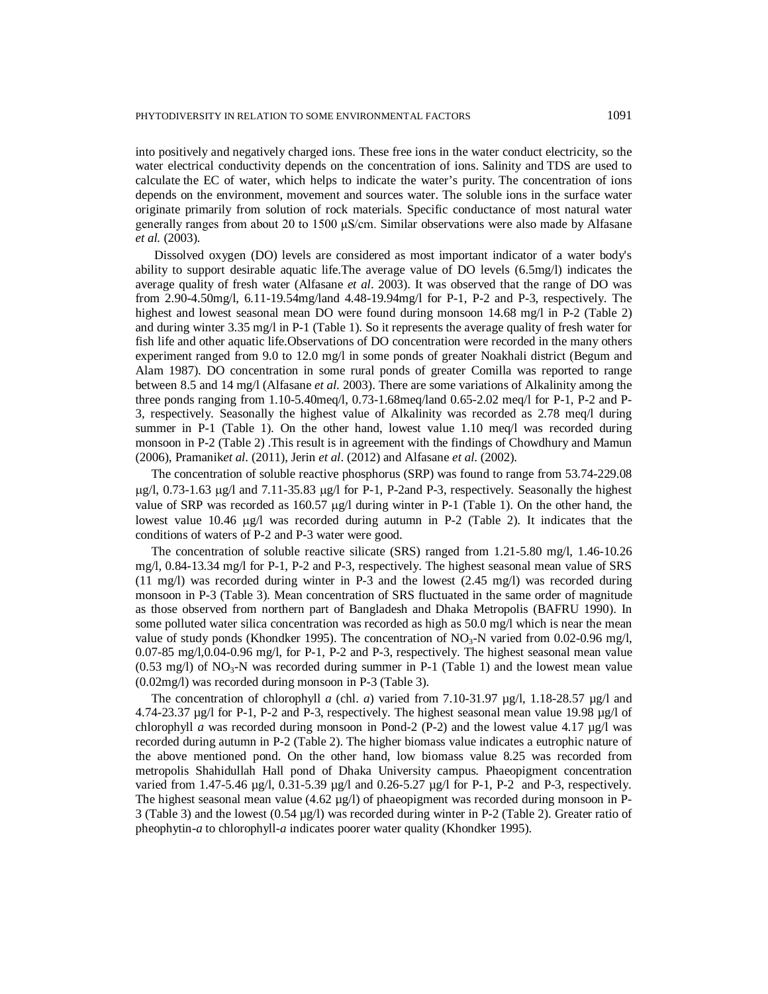into positively and negatively charged ions. These free ions in the water conduct electricity, so the water electrical conductivity depends on the concentration of ions. Salinity and TDS are used to calculate the EC of water, which helps to indicate the water's purity. The concentration of ions depends on the environment, movement and sources water. The soluble ions in the surface water originate primarily from solution of rock materials. Specific conductance of most natural water generally ranges from about 20 to 1500 μS/cm. Similar observations were also made by Alfasane *et al.* (2003).

 Dissolved oxygen (DO) levels are considered as most important indicator of a water body's ability to support desirable aquatic life.The average value of DO levels (6.5mg/l) indicates the average quality of fresh water (Alfasane *et al*. 2003). It was observed that the range of DO was from 2.90-4.50mg/l, 6.11-19.54mg/land 4.48-19.94mg/l for P-1, P-2 and P-3, respectively. The highest and lowest seasonal mean DO were found during monsoon 14.68 mg/l in P-2 (Table 2) and during winter 3.35 mg/l in P-1 (Table 1). So it represents the average quality of fresh water for fish life and other aquatic life.Observations of DO concentration were recorded in the many others experiment ranged from 9.0 to 12.0 mg/l in some ponds of greater Noakhali district (Begum and Alam 1987). DO concentration in some rural ponds of greater Comilla was reported to range between 8.5 and 14 mg/l (Alfasane *et al*. 2003). There are some variations of Alkalinity among the three ponds ranging from 1.10-5.40meq/l, 0.73-1.68meq/land 0.65-2.02 meq/l for P-1, P-2 and P-3, respectively. Seasonally the highest value of Alkalinity was recorded as 2.78 meq/l during summer in P-1 (Table 1). On the other hand, lowest value 1.10 meq/l was recorded during monsoon in P-2 (Table 2) .This result is in agreement with the findings of Chowdhury and Mamun (2006), Pramanik*et al*. (2011), Jerin *et al*. (2012) and Alfasane *et al*. (2002).

 The concentration of soluble reactive phosphorus (SRP) was found to range from 53.74-229.08  $\mu$ g/l, 0.73-1.63  $\mu$ g/l and 7.11-35.83  $\mu$ g/l for P-1, P-2and P-3, respectively. Seasonally the highest value of SRP was recorded as  $160.57 \mu g/l$  during winter in P-1 (Table 1). On the other hand, the lowest value  $10.46 \text{ µg/l}$  was recorded during autumn in P-2 (Table 2). It indicates that the conditions of waters of P-2 and P-3 water were good.

 The concentration of soluble reactive silicate (SRS) ranged from 1.21-5.80 mg/l, 1.46-10.26 mg/l, 0.84-13.34 mg/l for P-1, P-2 and P-3, respectively. The highest seasonal mean value of SRS (11 mg/l) was recorded during winter in P-3 and the lowest (2.45 mg/l) was recorded during monsoon in P-3 (Table 3). Mean concentration of SRS fluctuated in the same order of magnitude as those observed from northern part of Bangladesh and Dhaka Metropolis (BAFRU 1990). In some polluted water silica concentration was recorded as high as  $50.0$  mg/l which is near the mean value of study ponds (Khondker 1995). The concentration of  $NO<sub>3</sub>-N$  varied from 0.02-0.96 mg/l, 0.07-85 mg/l,0.04-0.96 mg/l, for P-1, P-2 and P-3, respectively. The highest seasonal mean value  $(0.53 \text{ mg/l})$  of NO<sub>3</sub>-N was recorded during summer in P-1 (Table 1) and the lowest mean value (0.02mg/l) was recorded during monsoon in P-3 (Table 3).

The concentration of chlorophyll *a* (chl. *a*) varied from 7.10-31.97 µg/l, 1.18-28.57 µg/l and 4.74-23.37  $\mu$ g/l for P-1, P-2 and P-3, respectively. The highest seasonal mean value 19.98  $\mu$ g/l of chlorophyll *a* was recorded during monsoon in Pond-2 (P-2) and the lowest value 4.17  $\mu$ g/l was recorded during autumn in P-2 (Table 2). The higher biomass value indicates a eutrophic nature of the above mentioned pond. On the other hand, low biomass value 8.25 was recorded from metropolis Shahidullah Hall pond of Dhaka University campus. Phaeopigment concentration varied from 1.47-5.46  $\mu$ g/l, 0.31-5.39  $\mu$ g/l and 0.26-5.27  $\mu$ g/l for P-1, P-2 and P-3, respectively. The highest seasonal mean value  $(4.62 \mu g/l)$  of phaeopigment was recorded during monsoon in P-3 (Table 3) and the lowest (0.54 µg/l) was recorded during winter in P-2 (Table 2). Greater ratio of pheophytin-*a* to chlorophyll-*a* indicates poorer water quality (Khondker 1995).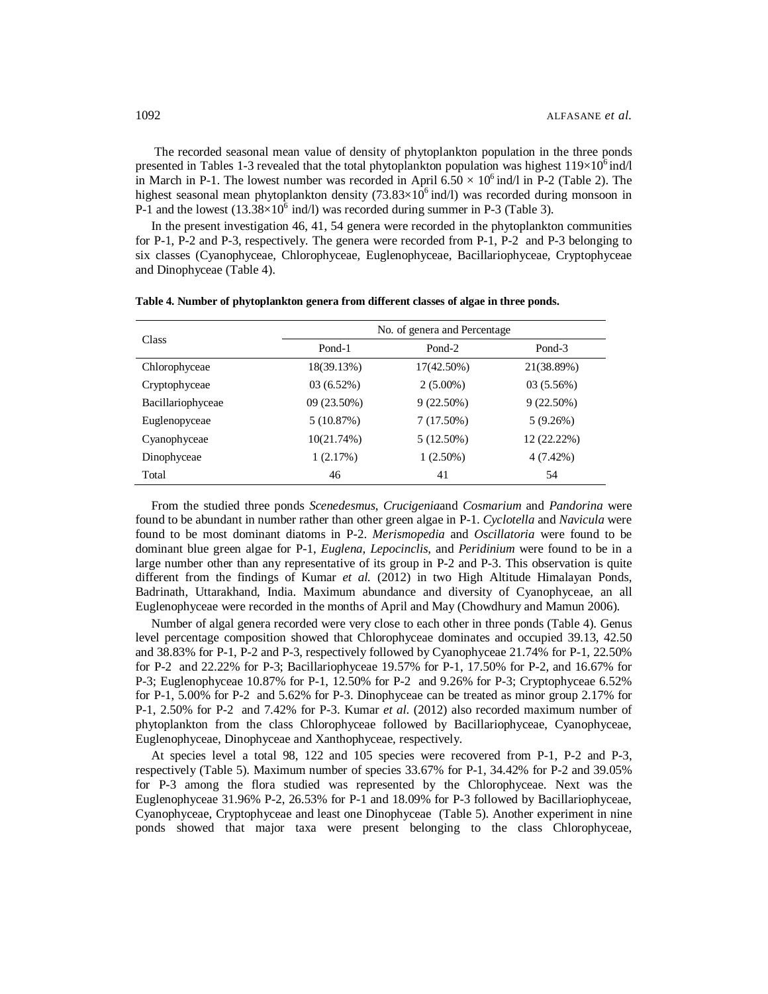The recorded seasonal mean value of density of phytoplankton population in the three ponds presented in Tables 1-3 revealed that the total phytoplankton population was highest  $119\times10^6$  ind/l in March in P-1. The lowest number was recorded in April  $6.50 \times 10^6$  ind/l in P-2 (Table 2). The highest seasonal mean phytoplankton density (73.83 $\times 10^6$  ind/l) was recorded during monsoon in P-1 and the lowest  $(13.38\times10^6 \text{ ind/l})$  was recorded during summer in P-3 (Table 3).

 In the present investigation 46, 41, 54 genera were recorded in the phytoplankton communities for P-1, P-2 and P-3, respectively. The genera were recorded from P-1, P-2 and P-3 belonging to six classes (Cyanophyceae, Chlorophyceae, Euglenophyceae, Bacillariophyceae, Cryptophyceae and Dinophyceae (Table 4).

|                   |             | No. of genera and Percentage |              |
|-------------------|-------------|------------------------------|--------------|
| Class             | Pond-1      | Pond-2                       | Pond-3       |
| Chlorophyceae     | 18(39.13%)  | 17(42.50%)                   | 21(38.89%)   |
| Cryptophyceae     | 03(6.52%)   | $2(5.00\%)$                  | 03(5.56%)    |
| Bacillariophyceae | 09 (23.50%) | $9(22.50\%)$                 | $9(22.50\%)$ |
| Euglenopyceae     | 5(10.87%)   | $7(17.50\%)$                 | 5(9.26%)     |
| Cyanophyceae      | 10(21.74%)  | $5(12.50\%)$                 | 12 (22.22%)  |
| Dinophyceae       | 1(2.17%)    | $1(2.50\%)$                  | $4(7.42\%)$  |
| Total             | 46          | 41                           | 54           |

**Table 4. Number of phytoplankton genera from different classes of algae in three ponds.**

 From the studied three ponds *Scenedesmus*, *Crucigenia*and *Cosmarium* and *Pandorina* were found to be abundant in number rather than other green algae in P-1. *Cyclotella* and *Navicula* were found to be most dominant diatoms in P-2. *Merismopedia* and *Oscillatoria* were found to be dominant blue green algae for P-1, *Euglena, Lepocinclis,* and *Peridinium* were found to be in a large number other than any representative of its group in P-2 and P-3. This observation is quite different from the findings of Kumar *et al.* (2012) in two High Altitude Himalayan Ponds, Badrinath, Uttarakhand, India. Maximum abundance and diversity of Cyanophyceae, an all Euglenophyceae were recorded in the months of April and May (Chowdhury and Mamun 2006).

 Number of algal genera recorded were very close to each other in three ponds (Table 4). Genus level percentage composition showed that Chlorophyceae dominates and occupied 39.13, 42.50 and 38.83% for P-1, P-2 and P-3, respectively followed by Cyanophyceae 21.74% for P-1, 22.50% for P-2 and 22.22% for P-3; Bacillariophyceae 19.57% for P-1, 17.50% for P-2, and 16.67% for P-3; Euglenophyceae 10.87% for P-1, 12.50% for P-2 and 9.26% for P-3; Cryptophyceae 6.52% for P-1, 5.00% for P-2 and 5.62% for P-3. Dinophyceae can be treated as minor group 2.17% for P-1, 2.50% for P-2 and 7.42% for P-3. Kumar *et al*. (2012) also recorded maximum number of phytoplankton from the class Chlorophyceae followed by Bacillariophyceae, Cyanophyceae, Euglenophyceae, Dinophyceae and Xanthophyceae, respectively.

 At species level a total 98, 122 and 105 species were recovered from P-1, P-2 and P-3, respectively (Table 5). Maximum number of species 33.67% for P-1, 34.42% for P-2 and 39.05% for P-3 among the flora studied was represented by the Chlorophyceae. Next was the Euglenophyceae 31.96% P-2, 26.53% for P-1 and 18.09% for P-3 followed by Bacillariophyceae, Cyanophyceae, Cryptophyceae and least one Dinophyceae (Table 5). Another experiment in nine ponds showed that major taxa were present belonging to the class Chlorophyceae,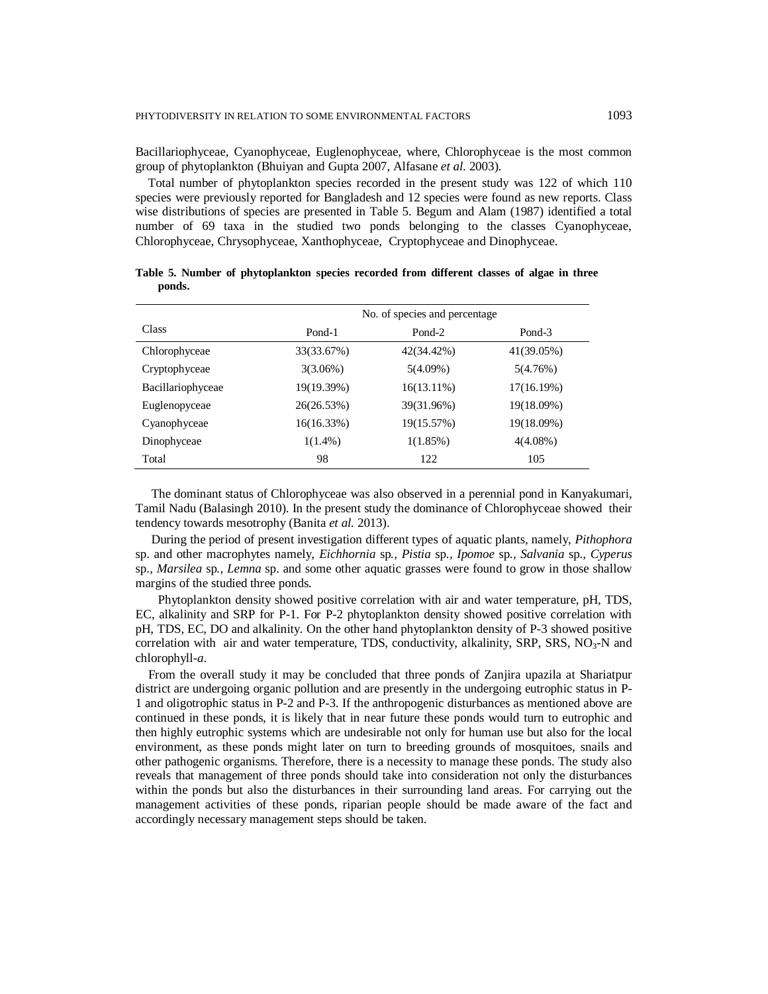Bacillariophyceae, Cyanophyceae, Euglenophyceae, where, Chlorophyceae is the most common group of phytoplankton (Bhuiyan and Gupta 2007, Alfasane *et al*. 2003).

 Total number of phytoplankton species recorded in the present study was 122 of which 110 species were previously reported for Bangladesh and 12 species were found as new reports. Class wise distributions of species are presented in Table 5. Begum and Alam (1987) identified a total number of 69 taxa in the studied two ponds belonging to the classes Cyanophyceae, Chlorophyceae, Chrysophyceae, Xanthophyceae, Cryptophyceae and Dinophyceae.

|                   |             | No. of species and percentage |             |
|-------------------|-------------|-------------------------------|-------------|
| <b>Class</b>      | Pond-1      | Pond-2                        | Pond-3      |
| Chlorophyceae     | 33(33.67%)  | 42(34.42%)                    | 41(39.05%)  |
| Cryptophyceae     | $3(3.06\%)$ | $5(4.09\%)$                   | 5(4.76%)    |
| Bacillariophyceae | 19(19.39%)  | $16(13.11\%)$                 | 17(16.19%)  |
| Euglenopyceae     | 26(26.53%)  | 39(31.96%)                    | 19(18.09%)  |
| Cyanophyceae      | 16(16.33%)  | 19(15.57%)                    | 19(18.09%)  |
| Dinophyceae       | $1(1.4\%)$  | 1(1.85%)                      | $4(4.08\%)$ |
| Total             | 98          | 122                           | 105         |

**Table 5. Number of phytoplankton species recorded from different classes of algae in three ponds.**

 The dominant status of Chlorophyceae was also observed in a perennial pond in Kanyakumari, Tamil Nadu (Balasingh 2010). In the present study the dominance of Chlorophyceae showed their tendency towards mesotrophy (Banita *et al.* 2013).

 During the period of present investigation different types of aquatic plants, namely, *Pithophora* sp. and other macrophytes namely, *Eichhornia* sp*., Pistia* sp*., Ipomoe* sp*., Salvania* sp*., Cyperus* sp.*, Marsilea* sp*., Lemna* sp. and some other aquatic grasses were found to grow in those shallow margins of the studied three ponds.

Phytoplankton density showed positive correlation with air and water temperature, pH, TDS, EC, alkalinity and SRP for P-1. For P-2 phytoplankton density showed positive correlation with pH, TDS, EC, DO and alkalinity. On the other hand phytoplankton density of P-3 showed positive correlation with air and water temperature, TDS, conductivity, alkalinity, SRP, SRS,  $NO<sub>3</sub>-N$  and chlorophyll-*a*.

 From the overall study it may be concluded that three ponds of Zanjira upazila at Shariatpur district are undergoing organic pollution and are presently in the undergoing eutrophic status in P-1 and oligotrophic status in P-2 and P-3. If the anthropogenic disturbances as mentioned above are continued in these ponds, it is likely that in near future these ponds would turn to eutrophic and then highly eutrophic systems which are undesirable not only for human use but also for the local environment, as these ponds might later on turn to breeding grounds of mosquitoes, snails and other pathogenic organisms. Therefore, there is a necessity to manage these ponds. The study also reveals that management of three ponds should take into consideration not only the disturbances within the ponds but also the disturbances in their surrounding land areas. For carrying out the management activities of these ponds, riparian people should be made aware of the fact and accordingly necessary management steps should be taken.